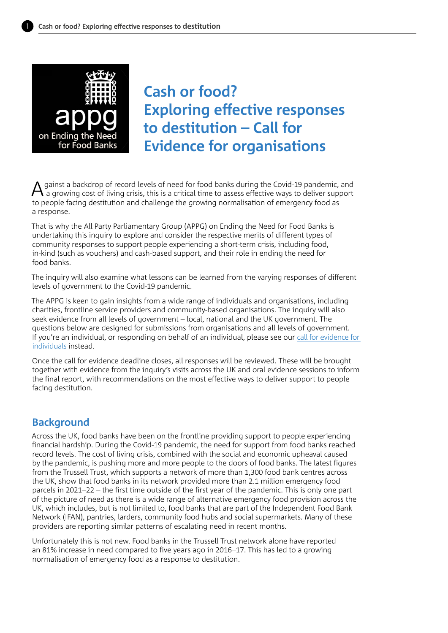

**Cash or food? Exploring effective responses to destitution – Call for Evidence for organisations**

gainst a backdrop of record levels of need for food banks during the Covid-19 pandemic, and a growing cost of living crisis, this is a critical time to assess effective ways to deliver support to people facing destitution and challenge the growing normalisation of emergency food as a response.

That is why the All Party Parliamentary Group (APPG) on Ending the Need for Food Banks is undertaking this inquiry to explore and consider the respective merits of different types of community responses to support people experiencing a short-term crisis, including food, in-kind (such as vouchers) and cash-based support, and their role in ending the need for food banks.

The inquiry will also examine what lessons can be learned from the varying responses of different levels of government to the Covid-19 pandemic.

The APPG is keen to gain insights from a wide range of individuals and organisations, including charities, frontline service providers and community-based organisations. The inquiry will also seek evidence from all levels of government – local, national and the UK government. The questions below are designed for submissions from organisations and all levels of government. If you're an individual, or responding on behalf of an individual, please see our [call for evidence for](https://www.trusselltrust.org/what-we-do/research-advocacy/appg-ending-food-banks/call-for-evidence/)  [individuals](https://www.trusselltrust.org/what-we-do/research-advocacy/appg-ending-food-banks/call-for-evidence/) instead.

Once the call for evidence deadline closes, all responses will be reviewed. These will be brought together with evidence from the inquiry's visits across the UK and oral evidence sessions to inform the final report, with recommendations on the most effective ways to deliver support to people facing destitution.

## **Background**

Across the UK, food banks have been on the frontline providing support to people experiencing financial hardship. During the Covid-19 pandemic, the need for support from food banks reached record levels. The cost of living crisis, combined with the social and economic upheaval caused by the pandemic, is pushing more and more people to the doors of food banks. The latest figures from the Trussell Trust, which supports a network of more than 1,300 food bank centres across the UK, show that food banks in its network provided more than 2.1 million emergency food parcels in 2021–22 – the first time outside of the first year of the pandemic. This is only one part of the picture of need as there is a wide range of alternative emergency food provision across the UK, which includes, but is not limited to, food banks that are part of the Independent Food Bank Network (IFAN), pantries, larders, community food hubs and social supermarkets. Many of these providers are reporting similar patterns of escalating need in recent months.

Unfortunately this is not new. Food banks in the Trussell Trust network alone have reported an 81% increase in need compared to five years ago in 2016–17. This has led to a growing normalisation of emergency food as a response to destitution.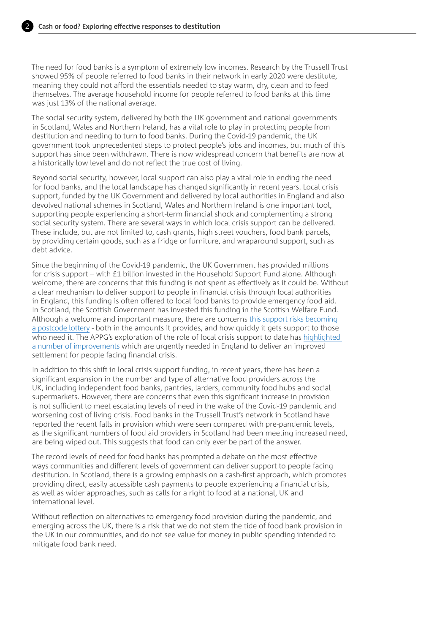

The need for food banks is a symptom of extremely low incomes. Research by the Trussell Trust showed 95% of people referred to food banks in their network in early 2020 were destitute, meaning they could not afford the essentials needed to stay warm, dry, clean and to feed themselves. The average household income for people referred to food banks at this time was just 13% of the national average.

The social security system, delivered by both the UK government and national governments in Scotland, Wales and Northern Ireland, has a vital role to play in protecting people from destitution and needing to turn to food banks. During the Covid-19 pandemic, the UK government took unprecedented steps to protect people's jobs and incomes, but much of this support has since been withdrawn. There is now widespread concern that benefits are now at a historically low level and do not reflect the true cost of living.

Beyond social security, however, local support can also play a vital role in ending the need for food banks, and the local landscape has changed significantly in recent years. Local crisis support, funded by the UK Government and delivered by local authorities in England and also devolved national schemes in Scotland, Wales and Northern Ireland is one important tool, supporting people experiencing a short-term financial shock and complementing a strong social security system. There are several ways in which local crisis support can be delivered. These include, but are not limited to, cash grants, high street vouchers, food bank parcels, by providing certain goods, such as a fridge or furniture, and wraparound support, such as debt advice.

Since the beginning of the Covid-19 pandemic, the UK Government has provided millions for crisis support – with £1 billion invested in the Household Support Fund alone. Although welcome, there are concerns that this funding is not spent as effectively as it could be. Without a clear mechanism to deliver support to people in financial crisis through local authorities in England, this funding is often offered to local food banks to provide emergency food aid. In Scotland, the Scottish Government has invested this funding in the Scottish Welfare Fund. Although a welcome and important measure, there are concerns [this support risks becoming](https://www.trusselltrust.org/wp-content/uploads/sites/2/2022/03/Scotland-Tackling-Child-Poverty-and-Destitution.pdf)  [a postcode lottery](https://www.trusselltrust.org/wp-content/uploads/sites/2/2022/03/Scotland-Tackling-Child-Poverty-and-Destitution.pdf) - both in the amounts it provides, and how quickly it gets support to those who need it. The APPG's exploration of the role of local crisis support to date has [highlighted](https://www.trusselltrust.org/wp-content/uploads/sites/2/2022/05/APPG-ETNFFB-LWAS-recommendations-briefing-FINAL.pdf)  [a number of improvements](https://www.trusselltrust.org/wp-content/uploads/sites/2/2022/05/APPG-ETNFFB-LWAS-recommendations-briefing-FINAL.pdf) which are urgently needed in England to deliver an improved settlement for people facing financial crisis.

In addition to this shift in local crisis support funding, in recent years, there has been a significant expansion in the number and type of alternative food providers across the UK, including independent food banks, pantries, larders, community food hubs and social supermarkets. However, there are concerns that even this significant increase in provision is not sufficient to meet escalating levels of need in the wake of the Covid-19 pandemic and worsening cost of living crisis. Food banks in the Trussell Trust's network in Scotland have reported the recent falls in provision which were seen compared with pre-pandemic levels, as the significant numbers of food aid providers in Scotland had been meeting increased need, are being wiped out. This suggests that food can only ever be part of the answer.

The record levels of need for food banks has prompted a debate on the most effective ways communities and different levels of government can deliver support to people facing destitution. In Scotland, there is a growing emphasis on a cash-first approach, which promotes providing direct, easily accessible cash payments to people experiencing a financial crisis, as well as wider approaches, such as calls for a right to food at a national, UK and international level.

Without reflection on alternatives to emergency food provision during the pandemic, and emerging across the UK, there is a risk that we do not stem the tide of food bank provision in the UK in our communities, and do not see value for money in public spending intended to mitigate food bank need.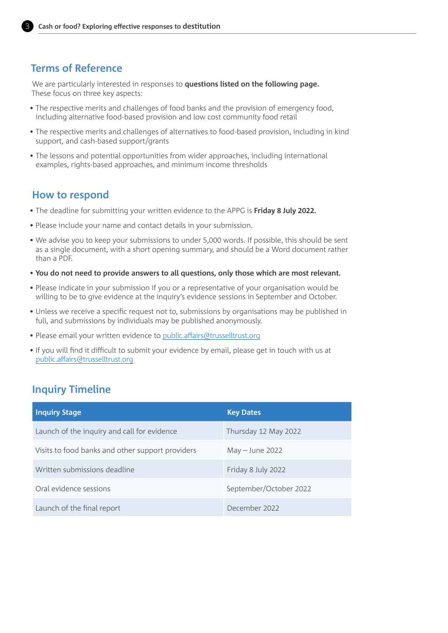

## **Terms of Reference**

We are particularly interested in responses to **questions listed on the following page.** These focus on three key aspects:

- The respective merits and challenges of food banks and the provision of emergency food, including alternative food-based provision and low cost community food retail
- The respective merits and challenges of alternatives to food-based provision, including in kind support, and cash-based support/grants
- The lessons and potential opportunities from wider approaches, including international examples, rights-based approaches, and minimum income thresholds

### **How to respond**

- The deadline for submitting your written evidence to the APPG is **Friday 8 July 2022.**
- Please include your name and contact details in your submission.
- We advise you to keep your submissions to under 5,000 words. If possible, this should be sent as a single document, with a short opening summary, and should be a Word document rather than a PDF.
- **You do not need to provide answers to all questions, only those which are most relevant.**
- Please indicate in your submission if you or a representative of your organisation would be willing to be to give evidence at the inquiry's evidence sessions in September and October.
- Unless we receive a specific request not to, submissions by organisations may be published in full, and submissions by individuals may be published anonymously.
- Please email your written evidence to [public.affairs@trusselltrust.org](mailto:public.affairs%40trusselltrust.org?subject=)
- If you will find it difficult to submit your evidence by email, please get in touch with us at [public.affairs@trusselltrust.org](mailto:public.affairs%40trusselltrust.org?subject=)

## **Inquiry Timeline**

| <b>Inquiry Stage</b>                             | <b>Key Dates</b>       |
|--------------------------------------------------|------------------------|
| Launch of the inquiry and call for evidence      | Thursday 12 May 2022   |
| Visits to food banks and other support providers | $May - June 2022$      |
| Written submissions deadline                     | Friday 8 July 2022     |
| Oral evidence sessions                           | September/October 2022 |
| Launch of the final report                       | December 2022          |